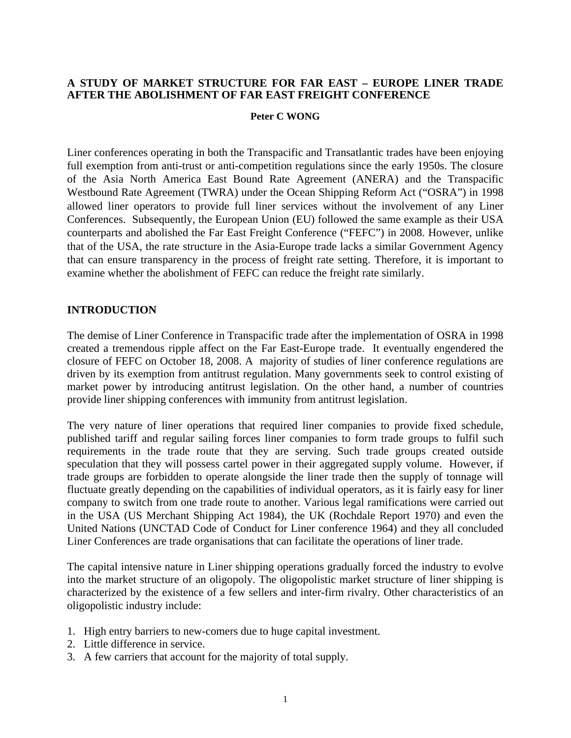#### **A STUDY OF MARKET STRUCTURE FOR FAR EAST – EUROPE LINER TRADE AFTER THE ABOLISHMENT OF FAR EAST FREIGHT CONFERENCE**

#### **Peter C WONG**

Liner conferences operating in both the Transpacific and Transatlantic trades have been enjoying full exemption from anti-trust or anti-competition regulations since the early 1950s. The closure of the Asia North America East Bound Rate Agreement (ANERA) and the Transpacific Westbound Rate Agreement (TWRA) under the Ocean Shipping Reform Act ("OSRA") in 1998 allowed liner operators to provide full liner services without the involvement of any Liner Conferences. Subsequently, the European Union (EU) followed the same example as their USA counterparts and abolished the Far East Freight Conference ("FEFC") in 2008. However, unlike that of the USA, the rate structure in the Asia-Europe trade lacks a similar Government Agency that can ensure transparency in the process of freight rate setting. Therefore, it is important to examine whether the abolishment of FEFC can reduce the freight rate similarly.

#### **INTRODUCTION**

The demise of Liner Conference in Transpacific trade after the implementation of OSRA in 1998 created a tremendous ripple affect on the Far East-Europe trade. It eventually engendered the closure of FEFC on October 18, 2008. A majority of studies of liner conference regulations are driven by its exemption from antitrust regulation. Many governments seek to control existing of market power by introducing antitrust legislation. On the other hand, a number of countries provide liner shipping conferences with immunity from antitrust legislation.

The very nature of liner operations that required liner companies to provide fixed schedule, published tariff and regular sailing forces liner companies to form trade groups to fulfil such requirements in the trade route that they are serving. Such trade groups created outside speculation that they will possess cartel power in their aggregated supply volume. However, if trade groups are forbidden to operate alongside the liner trade then the supply of tonnage will fluctuate greatly depending on the capabilities of individual operators, as it is fairly easy for liner company to switch from one trade route to another. Various legal ramifications were carried out in the USA (US Merchant Shipping Act 1984), the UK (Rochdale Report 1970) and even the United Nations (UNCTAD Code of Conduct for Liner conference 1964) and they all concluded Liner Conferences are trade organisations that can facilitate the operations of liner trade.

The capital intensive nature in Liner shipping operations gradually forced the industry to evolve into the market structure of an oligopoly. The oligopolistic market structure of liner shipping is characterized by the existence of a few sellers and inter-firm rivalry. Other characteristics of an oligopolistic industry include:

- 1. High entry barriers to new-comers due to huge capital investment.
- 2. Little difference in service.
- 3. A few carriers that account for the majority of total supply.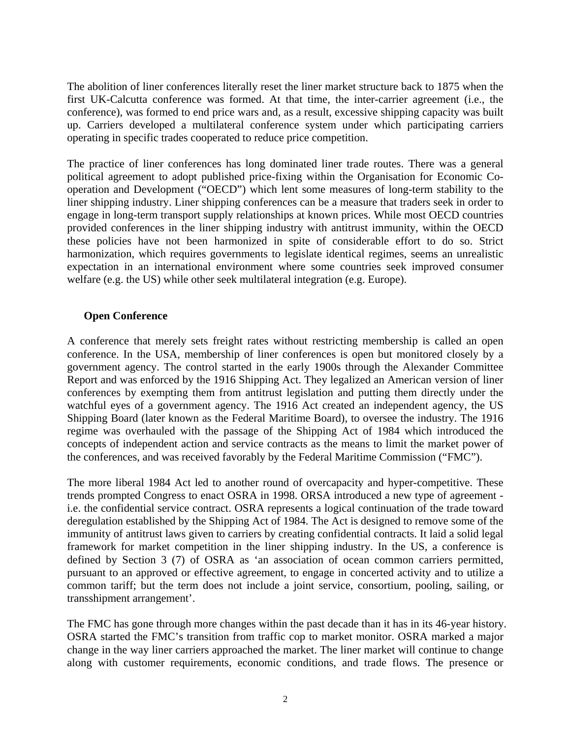The abolition of liner conferences literally reset the liner market structure back to 1875 when the first UK-Calcutta conference was formed. At that time, the inter-carrier agreement (i.e., the conference), was formed to end price wars and, as a result, excessive shipping capacity was built up. Carriers developed a multilateral conference system under which participating carriers operating in specific trades cooperated to reduce price competition.

The practice of liner conferences has long dominated liner trade routes. There was a general political agreement to adopt published price-fixing within the Organisation for Economic Cooperation and Development ("OECD") which lent some measures of long-term stability to the liner shipping industry. Liner shipping conferences can be a measure that traders seek in order to engage in long-term transport supply relationships at known prices. While most OECD countries provided conferences in the liner shipping industry with antitrust immunity, within the OECD these policies have not been harmonized in spite of considerable effort to do so. Strict harmonization, which requires governments to legislate identical regimes, seems an unrealistic expectation in an international environment where some countries seek improved consumer welfare (e.g. the US) while other seek multilateral integration (e.g. Europe).

## **Open Conference**

A conference that merely sets freight rates without restricting membership is called an open conference. In the USA, membership of liner conferences is open but monitored closely by a government agency. The control started in the early 1900s through the Alexander Committee Report and was enforced by the 1916 Shipping Act. They legalized an American version of liner conferences by exempting them from antitrust legislation and putting them directly under the watchful eyes of a government agency. The 1916 Act created an independent agency, the US Shipping Board (later known as the Federal Maritime Board), to oversee the industry. The 1916 regime was overhauled with the passage of the Shipping Act of 1984 which introduced the concepts of independent action and service contracts as the means to limit the market power of the conferences, and was received favorably by the Federal Maritime Commission ("FMC").

The more liberal 1984 Act led to another round of overcapacity and hyper-competitive. These trends prompted Congress to enact OSRA in 1998. ORSA introduced a new type of agreement i.e. the confidential service contract. OSRA represents a logical continuation of the trade toward deregulation established by the Shipping Act of 1984. The Act is designed to remove some of the immunity of antitrust laws given to carriers by creating confidential contracts. It laid a solid legal framework for market competition in the liner shipping industry. In the US, a conference is defined by Section 3 (7) of OSRA as 'an association of ocean common carriers permitted, pursuant to an approved or effective agreement, to engage in concerted activity and to utilize a common tariff; but the term does not include a joint service, consortium, pooling, sailing, or transshipment arrangement'.

The FMC has gone through more changes within the past decade than it has in its 46-year history. OSRA started the FMC's transition from traffic cop to market monitor. OSRA marked a major change in the way liner carriers approached the market. The liner market will continue to change along with customer requirements, economic conditions, and trade flows. The presence or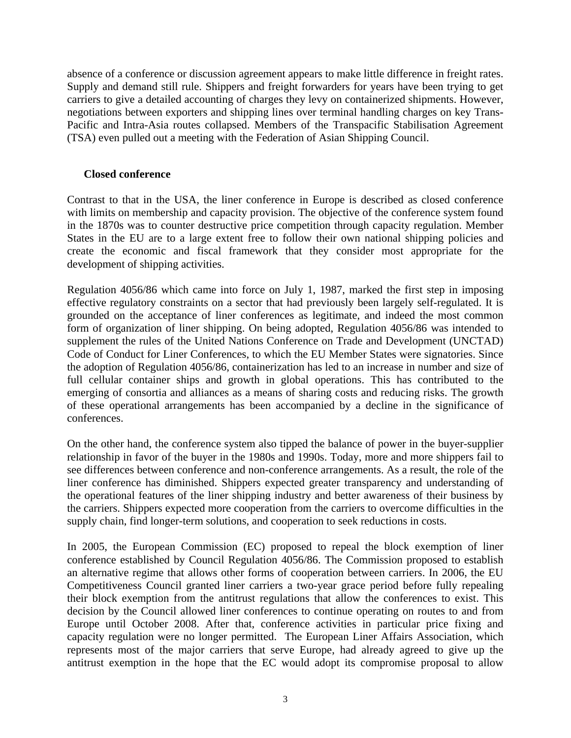absence of a conference or discussion agreement appears to make little difference in freight rates. Supply and demand still rule. Shippers and freight forwarders for years have been trying to get carriers to give a detailed accounting of charges they levy on containerized shipments. However, negotiations between exporters and shipping lines over terminal handling charges on key Trans-Pacific and Intra-Asia routes collapsed. Members of the Transpacific Stabilisation Agreement (TSA) even pulled out a meeting with the Federation of Asian Shipping Council.

### **Closed conference**

Contrast to that in the USA, the liner conference in Europe is described as closed conference with limits on membership and capacity provision. The objective of the conference system found in the 1870s was to counter destructive price competition through capacity regulation. Member States in the EU are to a large extent free to follow their own national shipping policies and create the economic and fiscal framework that they consider most appropriate for the development of shipping activities.

Regulation 4056/86 which came into force on July 1, 1987, marked the first step in imposing effective regulatory constraints on a sector that had previously been largely self-regulated. It is grounded on the acceptance of liner conferences as legitimate, and indeed the most common form of organization of liner shipping. On being adopted, Regulation 4056/86 was intended to supplement the rules of the United Nations Conference on Trade and Development (UNCTAD) Code of Conduct for Liner Conferences, to which the EU Member States were signatories. Since the adoption of Regulation 4056/86, containerization has led to an increase in number and size of full cellular container ships and growth in global operations. This has contributed to the emerging of consortia and alliances as a means of sharing costs and reducing risks. The growth of these operational arrangements has been accompanied by a decline in the significance of conferences.

On the other hand, the conference system also tipped the balance of power in the buyer-supplier relationship in favor of the buyer in the 1980s and 1990s. Today, more and more shippers fail to see differences between conference and non-conference arrangements. As a result, the role of the liner conference has diminished. Shippers expected greater transparency and understanding of the operational features of the liner shipping industry and better awareness of their business by the carriers. Shippers expected more cooperation from the carriers to overcome difficulties in the supply chain, find longer-term solutions, and cooperation to seek reductions in costs.

In 2005, the European Commission (EC) proposed to repeal the block exemption of liner conference established by Council Regulation 4056/86. The Commission proposed to establish an alternative regime that allows other forms of cooperation between carriers. In 2006, the EU Competitiveness Council granted liner carriers a two-year grace period before fully repealing their block exemption from the antitrust regulations that allow the conferences to exist. This decision by the Council allowed liner conferences to continue operating on routes to and from Europe until October 2008. After that, conference activities in particular price fixing and capacity regulation were no longer permitted. The European Liner Affairs Association, which represents most of the major carriers that serve Europe, had already agreed to give up the antitrust exemption in the hope that the EC would adopt its compromise proposal to allow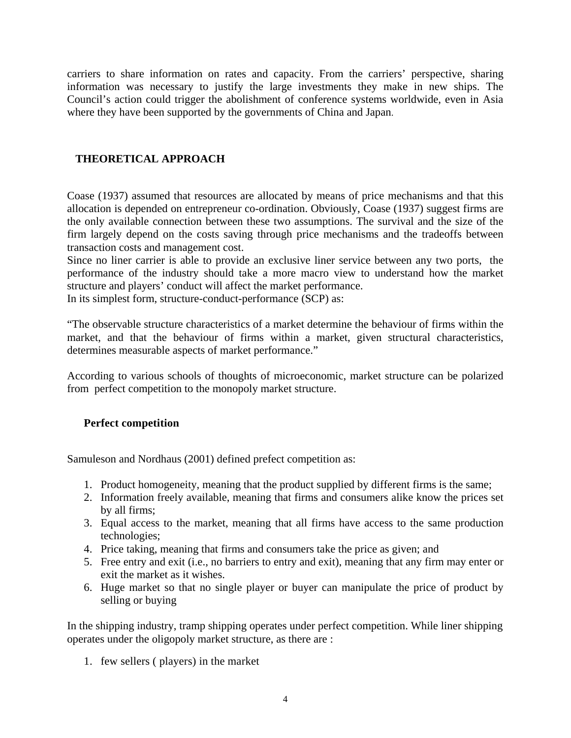carriers to share information on rates and capacity. From the carriers' perspective, sharing information was necessary to justify the large investments they make in new ships. The Council's action could trigger the abolishment of conference systems worldwide, even in Asia where they have been supported by the governments of China and Japan.

## **THEORETICAL APPROACH**

Coase (1937) assumed that resources are allocated by means of price mechanisms and that this allocation is depended on entrepreneur co-ordination. Obviously, Coase (1937) suggest firms are the only available connection between these two assumptions. The survival and the size of the firm largely depend on the costs saving through price mechanisms and the tradeoffs between transaction costs and management cost.

Since no liner carrier is able to provide an exclusive liner service between any two ports, the performance of the industry should take a more macro view to understand how the market structure and players' conduct will affect the market performance.

In its simplest form, structure-conduct-performance (SCP) as:

"The observable structure characteristics of a market determine the behaviour of firms within the market, and that the behaviour of firms within a market, given structural characteristics, determines measurable aspects of market performance."

According to various schools of thoughts of microeconomic, market structure can be polarized from perfect competition to the monopoly market structure.

#### **Perfect competition**

Samuleson and Nordhaus (2001) defined prefect competition as:

- 1. Product homogeneity, meaning that the product supplied by different firms is the same;
- 2. Information freely available, meaning that firms and consumers alike know the prices set by all firms;
- 3. Equal access to the market, meaning that all firms have access to the same production technologies;
- 4. Price taking, meaning that firms and consumers take the price as given; and
- 5. Free entry and exit (i.e., no barriers to entry and exit), meaning that any firm may enter or exit the market as it wishes.
- 6. Huge market so that no single player or buyer can manipulate the price of product by selling or buying

In the shipping industry, tramp shipping operates under perfect competition. While liner shipping operates under the oligopoly market structure, as there are :

1. few sellers ( players) in the market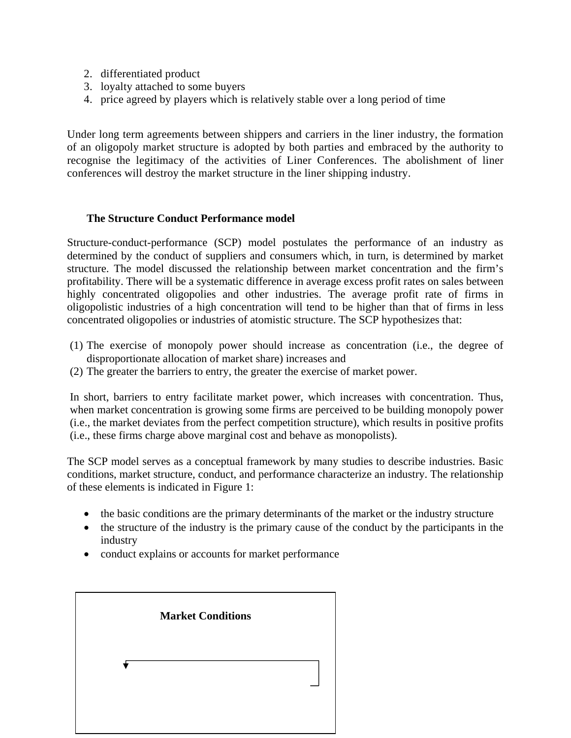- 2. differentiated product
- 3. loyalty attached to some buyers
- 4. price agreed by players which is relatively stable over a long period of time

Under long term agreements between shippers and carriers in the liner industry, the formation of an oligopoly market structure is adopted by both parties and embraced by the authority to recognise the legitimacy of the activities of Liner Conferences. The abolishment of liner conferences will destroy the market structure in the liner shipping industry.

#### **The Structure Conduct Performance model**

Structure-conduct-performance (SCP) model postulates the performance of an industry as determined by the conduct of suppliers and consumers which, in turn, is determined by market structure. The model discussed the relationship between market concentration and the firm's profitability. There will be a systematic difference in average excess profit rates on sales between highly concentrated oligopolies and other industries. The average profit rate of firms in oligopolistic industries of a high concentration will tend to be higher than that of firms in less concentrated oligopolies or industries of atomistic structure. The SCP hypothesizes that:

- (1) The exercise of monopoly power should increase as concentration (i.e., the degree of disproportionate allocation of market share) increases and
- (2) The greater the barriers to entry, the greater the exercise of market power.

In short, barriers to entry facilitate market power, which increases with concentration. Thus, when market concentration is growing some firms are perceived to be building monopoly power (i.e., the market deviates from the perfect competition structure), which results in positive profits (i.e., these firms charge above marginal cost and behave as monopolists).

The SCP model serves as a conceptual framework by many studies to describe industries. Basic conditions, market structure, conduct, and performance characterize an industry. The relationship of these elements is indicated in Figure 1:

- the basic conditions are the primary determinants of the market or the industry structure
- the structure of the industry is the primary cause of the conduct by the participants in the industry
- conduct explains or accounts for market performance

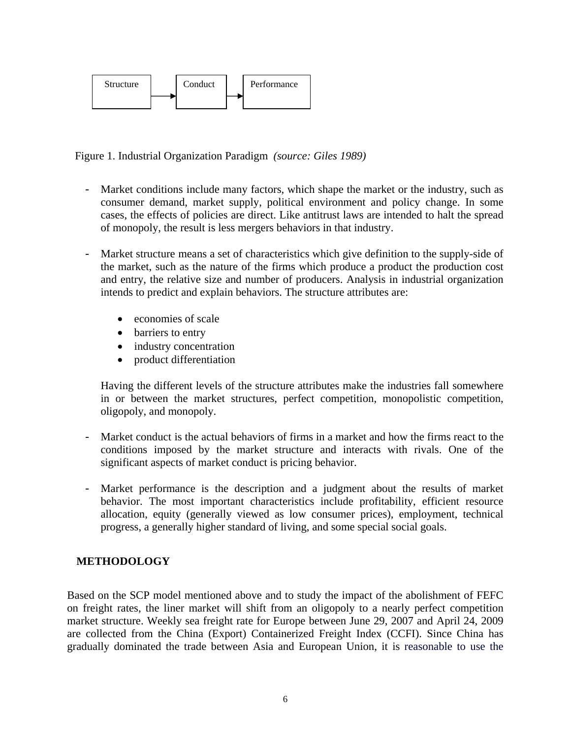

Figure 1. Industrial Organization Paradigm *(source: Giles 1989)*

- Market conditions include many factors, which shape the market or the industry, such as consumer demand, market supply, political environment and policy change. In some cases, the effects of policies are direct. Like antitrust laws are intended to halt the spread of monopoly, the result is less mergers behaviors in that industry.
- Market structure means a set of characteristics which give definition to the supply-side of the market, such as the nature of the firms which produce a product the production cost and entry, the relative size and number of producers. Analysis in industrial organization intends to predict and explain behaviors. The structure attributes are:
	- economies of scale
	- barriers to entry
	- industry concentration
	- product differentiation

Having the different levels of the structure attributes make the industries fall somewhere in or between the market structures, perfect competition, monopolistic competition, oligopoly, and monopoly.

- Market conduct is the actual behaviors of firms in a market and how the firms react to the conditions imposed by the market structure and interacts with rivals. One of the significant aspects of market conduct is pricing behavior.
- Market performance is the description and a judgment about the results of market behavior. The most important characteristics include profitability, efficient resource allocation, equity (generally viewed as low consumer prices), employment, technical progress, a generally higher standard of living, and some special social goals.

# **METHODOLOGY**

Based on the SCP model mentioned above and to study the impact of the abolishment of FEFC on freight rates, the liner market will shift from an oligopoly to a nearly perfect competition market structure. Weekly sea freight rate for Europe between June 29, 2007 and April 24, 2009 are collected from the China (Export) Containerized Freight Index (CCFI). Since China has gradually dominated the trade between Asia and European Union, it is reasonable to use the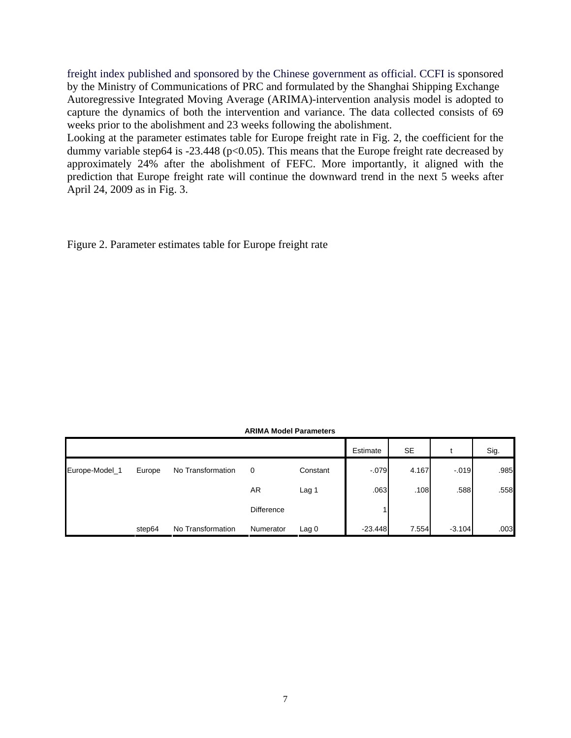freight index published and sponsored by the Chinese government as official. CCFI is sponsored by the Ministry of Communications of PRC and formulated by the Shanghai Shipping Exchange Autoregressive Integrated Moving Average (ARIMA)-intervention analysis model is adopted to capture the dynamics of both the intervention and variance. The data collected consists of 69 weeks prior to the abolishment and 23 weeks following the abolishment.

Looking at the parameter estimates table for Europe freight rate in Fig. 2, the coefficient for the dummy variable step64 is -23.448 ( $p<0.05$ ). This means that the Europe freight rate decreased by approximately 24% after the abolishment of FEFC. More importantly, it aligned with the prediction that Europe freight rate will continue the downward trend in the next 5 weeks after April 24, 2009 as in Fig. 3.

Figure 2. Parameter estimates table for Europe freight rate

#### **ARIMA Model Parameters**

|                |        |                   |                   |                  | Estimate  | <b>SE</b> |          | Sig. |
|----------------|--------|-------------------|-------------------|------------------|-----------|-----------|----------|------|
| Europe-Model_1 | Europe | No Transformation | 0                 | Constant         | $-.079$   | 4.167     | $-0.019$ | .985 |
|                |        |                   | AR                | Lag <sub>1</sub> | .063      | .108      | .588     | .558 |
|                |        |                   | <b>Difference</b> |                  |           |           |          |      |
|                | step64 | No Transformation | Numerator         | Lag <sub>0</sub> | $-23.448$ | 7.554     | $-3.104$ | .003 |